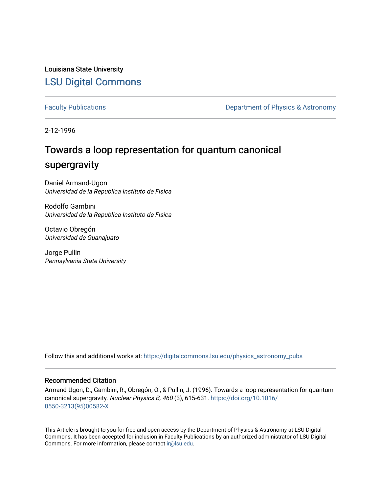Louisiana State University [LSU Digital Commons](https://digitalcommons.lsu.edu/)

[Faculty Publications](https://digitalcommons.lsu.edu/physics_astronomy_pubs) **Exercise 2** and Table 2 and Department of Physics & Astronomy

2-12-1996

# Towards a loop representation for quantum canonical supergravity

Daniel Armand-Ugon Universidad de la Republica Instituto de Fisica

Rodolfo Gambini Universidad de la Republica Instituto de Fisica

Octavio Obregón Universidad de Guanajuato

Jorge Pullin Pennsylvania State University

Follow this and additional works at: [https://digitalcommons.lsu.edu/physics\\_astronomy\\_pubs](https://digitalcommons.lsu.edu/physics_astronomy_pubs?utm_source=digitalcommons.lsu.edu%2Fphysics_astronomy_pubs%2F4437&utm_medium=PDF&utm_campaign=PDFCoverPages) 

## Recommended Citation

Armand-Ugon, D., Gambini, R., Obregón, O., & Pullin, J. (1996). Towards a loop representation for quantum canonical supergravity. Nuclear Physics B, 460 (3), 615-631. [https://doi.org/10.1016/](https://doi.org/10.1016/0550-3213(95)00582-X) [0550-3213\(95\)00582-X](https://doi.org/10.1016/0550-3213(95)00582-X) 

This Article is brought to you for free and open access by the Department of Physics & Astronomy at LSU Digital Commons. It has been accepted for inclusion in Faculty Publications by an authorized administrator of LSU Digital Commons. For more information, please contact [ir@lsu.edu](mailto:ir@lsu.edu).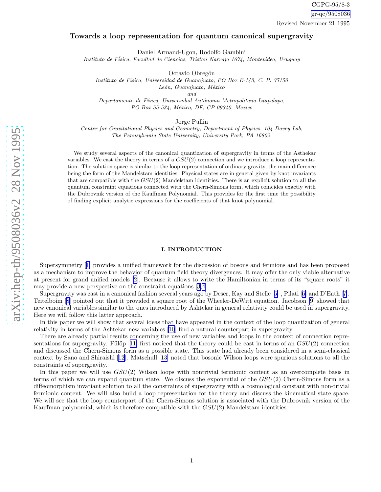### Towards a loop representation for quantum canonical supergravity

Daniel Armand-Ugon, Rodolfo Gambini

Instituto de Física, Facultad de Ciencias, Tristan Narvaja 1674, Montevideo, Uruguay

Octavio Obregón

Instituto de Física, Universidad de Guanajuato, PO Box E-143, C. P. 37150 León, Guanajuato, México

and

Departamento de Física, Universidad Autónoma Metropolitana-Iztapalapa, PO Box 55-534, México, DF, CP 09340, Mexico

Jorge Pullin

Center for Gravitational Physics and Geometry, Department of Physics, 104 Davey Lab, The Pennsylvania State University, University Park, PA 16802.

We study several aspects of the canonical quantization of supergravity in terms of the Asthekar variables. We cast the theory in terms of a  $GSU(2)$  connection and we introduce a loop representation. The solution space is similar to the loop representation of ordinary gravity, the main difference being the form of the Mandelstam identities. Physical states are in general given by knot invariants that are compatible with the  $GSU(2)$  Mandelstam identities. There is an explicit solution to all the quantum constraint equations connected with the Chern-Simons form, which coincides exactly with the Dubrovnik version of the Kauffman Polynomial. This provides for the first time the possibility of finding explicit analytic expressions for the coefficients of that knot polynomial.

#### I. INTRODUCTION

Supersymmetry[[1\]](#page-11-0) provides a unified framework for the discussion of bosons and fermions and has been proposed as a mechanism to improve the behavior of quantum field theory divergences. It may offer the only viable alternative at present for grand unified models [\[2](#page-11-0)]. Because it allows to write the Hamiltonian in terms of its "square roots" it may provide a new perspective on the constraint equations [\[3](#page-11-0),[4\]](#page-11-0).

Supergravity was cast in a canonical fashion several years ago by Deser, Kay and Stelle[[5\]](#page-11-0) , Pilati[[6\]](#page-11-0) and D'Eath[[7\]](#page-11-0). Teitelboim[[8\]](#page-11-0) pointed out that it provided a square root of the Wheeler-DeWitt equation. Jacobson [\[9](#page-11-0)] showed that new canonical variables similar to the ones introduced by Ashtekar in general relativity could be used in supergravity. Here we will follow this latter approach.

In this paper we will show that several ideas that have appeared in the context of the loop quantization of general relativity in terms of the Ashtekar new variables [\[10](#page-12-0)] find a natural counterpart in supergravity.

There are already partial results concerning the use of new variables and loops in the context of connection repre-sentationsfor supergravity. Fülöp [[11\]](#page-12-0) first noticed that the theory could be cast in terms of an  $GSU(2)$  connection and discussed the Chern-Simons form as a possible state. This state had already been considered in a semi-classical context by Sano and Shiraishi [\[12](#page-12-0)]. Matschull[[13\]](#page-12-0) noted that bosonic Wilson loops were spurious solutions to all the constraints of supergravity.

In this paper we will use  $GSU(2)$  Wilson loops with nontrivial fermionic content as an overcomplete basis in terms of which we can expand quantum state. We discuss the exponential of the  $GSU(2)$  Chern-Simons form as a diffeomorphism invariant solution to all the constraints of supergravity with a cosmological constant with non-trivial fermionic content. We will also build a loop representation for the theory and discuss the kinematical state space. We will see that the loop counterpart of the Chern-Simons solution is associated with the Dubrovnik version of the Kauffman polynomial, which is therefore compatible with the  $GSU(2)$  Mandelstam identities.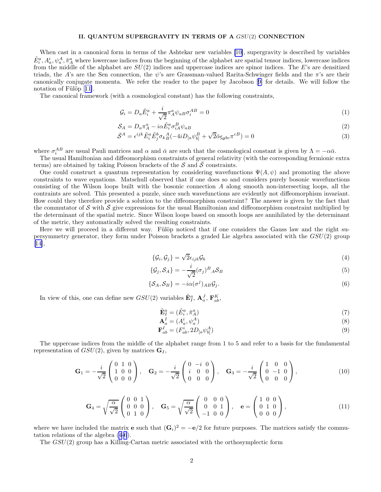#### II. QUANTUM SUPERGRAVITY IN TERMS OF A GSU(2) CONNECTION

<span id="page-2-0"></span>When cast in a canonical form in terms of the Ashtekar new variables [\[10\]](#page-12-0), supergravity is described by variables  $\tilde{E}^a_i, A^i_a, \psi^A_a, \tilde{\pi}^a_A$  where lowercase indices from the beginning of the alphabet are spatial tensor indices, lowercase indices from the middle of the alphabet are  $SU(2)$  indices and uppercase indices are spinor indices. The E's are densitized triads, the A's are the Sen connection, the  $\psi$ 's are Grassman-valued Rarita-Schwinger fields and the  $\pi$ 's are their canonically conjugate momenta. We refer the reader to the paper by Jacobson[[9\]](#page-11-0) for details. We will follow the notationof Fülöp  $[11]$  $[11]$ .

The canonical framework (with a cosmological constant) has the following constraints,

$$
\mathcal{G}_i = D_a \tilde{E}_i^a + \frac{i}{\sqrt{2}} \pi_A^a \psi_{aB} \sigma_i^{AB} = 0 \tag{1}
$$

$$
S_A = D_a \pi_A^a - i\alpha \tilde{E}_i^a \sigma_{iA}^B \psi_{aB} \tag{2}
$$

$$
\bar{S}^A = \epsilon^{ijk} \tilde{E}^a_i \tilde{E}^b_j \sigma_k{}^A_B (-4iD_{[a}\psi^B_{b]} + \sqrt{2}\bar{\alpha}\epsilon_{abc}\pi^{cB}) = 0
$$
\n(3)

where  $\sigma_i^{AB}$  are usual Pauli matrices and  $\alpha$  and  $\bar{\alpha}$  are such that the cosmological constant is given by  $\Lambda = -\alpha \bar{\alpha}$ .

The usual Hamiltonian and diffeomorphism constraints of general relativity (with the corresponding fermionic extra terms) are obtained by taking Poisson brackets of the  $S$  and  $\overline{S}$  constraints.

One could construct a quantum representation by considering wavefunctions  $\Psi(A, \psi)$  and promoting the above constraints to wave equations. Matschull observed that if one does so and considers purely bosonic wavefunctions consisting of the Wilson loops built with the bosonic connection A along smooth non-intersecting loops, all the contraints are solved. This presented a puzzle, since such wavefunctions are evidently not diffeomorphism invariant. How could they therefore provide a solution to the diffeomorphism constraint? The answer is given by the fact that the commutator of S with S give expressions for the usual Hamiltonian and diffeomorphism constraint multiplied by the determinant of the spatial metric. Since Wilson loops based on smooth loops are annihilated by the determinant of the metric, they automatically solved the resulting constraints.

Here we will proceed in a different way. Fülöp noticed that if one considers the Gauss law and the right supersymmetry generator, they form under Poisson brackets a graded Lie algebra associated with the GSU(2) group [[14\]](#page-12-0),

$$
\{\mathcal{G}_i, \mathcal{G}_j\} = \sqrt{2}\epsilon_{ijk}\mathcal{G}_k
$$
\n(4)

$$
\{\mathcal{G}_j, \mathcal{S}_A\} = -\frac{i}{\sqrt{2}} (\sigma_j)^B{}_A \mathcal{S}_B
$$
\n<sup>(5)</sup>

$$
\{\mathcal{S}_A, \mathcal{S}_B\} = -i\alpha(\sigma^j)_{AB}\mathcal{G}_j.
$$
\n(6)

In view of this, one can define new  $GSU(2)$  variables  $\tilde{\mathbf{E}}_I^a$ ,  $\mathbf{A}_a^J$ ,  $\mathbf{F}_{ab}^K$ ,

$$
\tilde{\mathbf{E}}_I^a = (\tilde{E}_i^a, \tilde{\pi}_A^a) \tag{7}
$$

$$
\mathbf{A}_a^I = (A_a^i, \psi_a^A) \tag{8}
$$

$$
\mathbf{F}_{ab}^I = (F_{ab}^i, 2D_{[a}\psi_{b]}^A)
$$
\n
$$
(9)
$$

The uppercase indices from the middle of the alphabet range from 1 to 5 and refer to a basis for the fundamental representation of  $GSU(2)$ , given by matrices  $G<sub>I</sub>$ ,

$$
\mathbf{G}_1 = -\frac{i}{\sqrt{2}} \begin{pmatrix} 0 & 1 & 0 \\ 1 & 0 & 0 \\ 0 & 0 & 0 \end{pmatrix}, \quad \mathbf{G}_2 = -\frac{i}{\sqrt{2}} \begin{pmatrix} 0 & -i & 0 \\ i & 0 & 0 \\ 0 & 0 & 0 \end{pmatrix}, \quad \mathbf{G}_3 = -\frac{i}{\sqrt{2}} \begin{pmatrix} 1 & 0 & 0 \\ 0 & -1 & 0 \\ 0 & 0 & 0 \end{pmatrix}, \tag{10}
$$

$$
\mathbf{G}_4 = \sqrt{\frac{\alpha}{\sqrt{2}}} \begin{pmatrix} 0 & 0 & 1 \\ 0 & 0 & 0 \\ 0 & 1 & 0 \end{pmatrix}, \quad \mathbf{G}_5 = \sqrt{\frac{\alpha}{\sqrt{2}}} \begin{pmatrix} 0 & 0 & 0 \\ 0 & 0 & 1 \\ -1 & 0 & 0 \end{pmatrix}, \quad \mathbf{e} = \begin{pmatrix} 1 & 0 & 0 \\ 0 & 1 & 0 \\ 0 & 0 & 0 \end{pmatrix}, \tag{11}
$$

where we have included the matrix **e** such that  $(G_i)^2 = -e/2$  for future purposes. The matrices satisfy the commutation relations of the algebra (4-6).

The GSU(2) group has a Killing-Cartan metric associated with the orthosymplectic form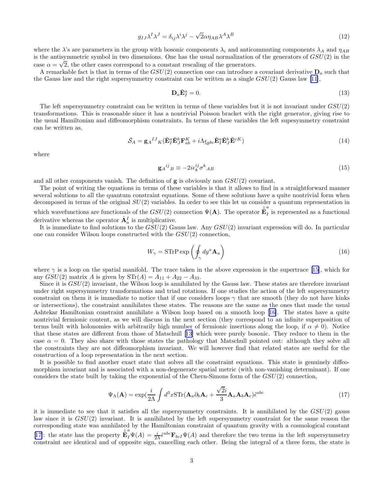$$
g_{IJ}\lambda^I\lambda^J = \delta_{ij}\lambda^i\lambda^j - \sqrt{2}\alpha\eta_{AB}\lambda^A\lambda^B
$$
\n(12)

where the  $\lambda$ 's are parameters in the group with bosonic components  $\lambda_i$  and anticommuting components  $\lambda_A$  and  $\eta_{AB}$ is the antisymmetric symbol in two dimensions. One has the usual normalization of the generators of  $GSU(2)$  in the case  $\alpha = \sqrt{2}$ , the other cases correspond to a constant rescaling of the generators.

A remarkable fact is that in terms of the  $GSU(2)$  connection one can introduce a covariant derivative  $D<sub>a</sub>$  such that the Gauss law and the right supersymmetry constraint can be written as a single  $GSU(2)$  Gauss law [\[11](#page-12-0)],

$$
\mathbf{D}_a \tilde{\mathbf{E}}_I^a = 0. \tag{13}
$$

The left supersymmetry constraint can be written in terms of these variables but it is not invariant under  $GSU(2)$ transformations. This is reasonable since it has a nontrivial Poisson bracket with the right generator, giving rise to the usual Hamiltonian and diffeomorphism constraints. In terms of these variables the left supesymmetry constraint can be written as,

$$
\bar{S}_A = \mathbf{g}_A{}^{IJ}{}_{K} (\tilde{\mathbf{E}}_I^a \tilde{\mathbf{E}}_J^b \mathbf{F}_{ab}^K + i\Lambda \epsilon_{gbc} \tilde{\mathbf{E}}_I^a \tilde{\mathbf{E}}_J^b \tilde{\mathbf{E}}^{cK})
$$
\n(14)

where

$$
\mathbf{g}_A{}^{ij}{}_B \equiv -2i\epsilon_k^{ij}\sigma^k{}_{AB} \tag{15}
$$

and all other components vanish. The definition of  $g$  is obviously non  $GSU(2)$  covariant.

The point of writing the equations in terms of these variables is that it allows to find in a straightforward manner several solutions to all the quantum constraint equations. Some of these solutions have a quite nontrivial form when decomposed in terms of the original  $SU(2)$  variables. In order to see this let us consider a quantum representation in

which wavefunctions are functionals of the  $GSU(2)$  connection  $\Psi(A)$ . The operator  $\hat{\tilde{\mathbf{E}}}^a_I$  $I<sub>I</sub>$  is represented as a functional derivative whereas the operator  $\hat{\mathbf{A}}_a^I$  is multiplicative.

It is immediate to find solutions to the  $GSU(2)$  Gauss law. Any  $GSU(2)$  invariant expression will do. In particular one can consider Wilson loops constructed with the  $GSU(2)$  connection.

$$
W_{\gamma} = \text{STrPerp}\left(\oint_{\gamma} dy^a \mathbf{A}_a\right) \tag{16}
$$

where  $\gamma$  is a loop on the spatial manifold. The trace taken in the above expression is the supertrace [\[15](#page-12-0)], which for any  $GSU(2)$  matrix A is given by  $STr(A) = A_{11} + A_{22} - A_{33}$ .

Since it is  $GSU(2)$  invariant, the Wilson loop is annihilated by the Gauss law. These states are therefore invariant under right supersymmetry transformations and triad rotations. If one studies the action of the left supersymmetry constraint on them it is immediate to notice that if one considers loops  $\gamma$  that are smooth (they do not have kinks or intersections), the constraint annihilates these states. The reasons are the same as the ones that made the usual Ashtekar Hamiltonian constraint annihilate a Wilson loop based on a smooth loop[[16\]](#page-12-0). The states have a quite nontrivial fermionic content, as we will discuss in the next section (they correspond to an infinite superposition of terms built with holonomies with arbitrarily high number of fermionic insertions along the loop, if  $\alpha \neq 0$ . Notice that these states are different from those of Matschull[[13\]](#page-12-0) which were purely bosonic. They reduce to them in the case  $\alpha = 0$ . They also share with those states the pathology that Matschull pointed out: although they solve all the constraints they are not diffeomorphism invariant. We will however find that related states are useful for the construction of a loop representation in the next section.

It is possible to find another exact state that solves all the constraint equations. This state is genuinely diffeomorphism invariant and is associated with a non-degenerate spatial metric (with non-vanishing determinant). If one considers the state built by taking the exponential of the Chern-Simons form of the  $GSU(2)$  connection,

$$
\Psi_{\Lambda}(\mathbf{A}) = \exp(\frac{i}{2\Lambda} \int d^3x \mathrm{STr}(\mathbf{A}_a \partial_b \mathbf{A}_c + \frac{\sqrt{2}i}{3} \mathbf{A}_a \mathbf{A}_b \mathbf{A}_c) \tilde{\epsilon}^{abc}
$$
(17)

it is immediate to see that it satisfies all the supersymmetry constraints. It is annihilated by the  $GSU(2)$  gauss law since it is  $GSU(2)$  invariant. It is annihilated by the left supersymmetry constraint for the same reason the corresponding state was annhilated by the Hamiltonian constraint of quantum gravity with a cosmological constant [[17\]](#page-12-0): the state has the property  $\mathbb{E}_{I}^{a} \Psi(A) = \frac{i}{2\Lambda} \tilde{\epsilon}^{abc} \mathbf{F}_{bcI} \Psi(A)$  and therefore the two terms in the left supersymmetry constraint are identical and of opposite sign, cancelling each other. Being the integral of a three form, the state is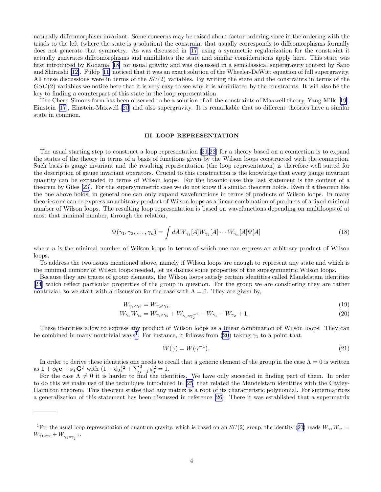naturally diffeomorphism invariant. Some concerns may be raised about factor ordering since in the ordering with the triads to the left (where the state is a solution) the constraint that usually corresponds to diffeomorphisms formally does not generate that symmetry. As was discussed in[[17\]](#page-12-0) using a symmetric regularization for the constraint it actually generates diffeomorphisms and annihilates the state and similar considerations apply here. This state was first introduced by Kodama[[18\]](#page-12-0) for usual gravity and was discussed in a semiclassical supergravity context by Sano and Shiraishi [\[12\]](#page-12-0).Fülöp [[11\]](#page-12-0) noticed that it was an exact solution of the Wheeler-DeWitt equation of full supergravity. All these discussions were in terms of the  $SU(2)$  variables. By writing the state and the constraints in terms of the  $GSU(2)$  variables we notice here that it is very easy to see why it is annihilated by the constraints. It will also be the key to finding a counterpart of this state in the loop representation.

The Chern-Simons form has been observed to be a solution of all the constraints of Maxwell theory, Yang-Mills[[19\]](#page-12-0), Einstein [\[17](#page-12-0)], Einstein-Maxwell [\[20](#page-12-0)] and also supergravity. It is remarkable that so different theories have a similar state in common.

#### III. LOOP REPRESENTATION

The usual starting step to construct a loop representation[[21](#page-12-0),[22\]](#page-12-0) for a theory based on a connection is to expand the states of the theory in terms of a basis of functions given by the Wilson loops constructed with the connection. Such basis is gauge invariant and the resulting representation (the loop representation) is therefore well suited for the description of gauge invariant operators. Crucial to this construction is the knowledge that every gauge invariant quantity can be expanded in terms of Wilson loops. For the bosonic case this last statement is the content of a theorem by Giles [\[23](#page-12-0)]. For the supersymmetric case we do not know if a similar theorem holds. Even if a theorem like the one above holds, in general one can only expand wavefunctions in terms of products of Wilson loops. In many theories one can re-express an arbitrary product of Wilson loops as a linear combination of products of a fixed minimal number of Wilson loops. The resulting loop representation is based on wavefunctions depending on multiloops of at most that minimal number, through the relation,

$$
\Psi(\gamma_1, \gamma_2, \dots, \gamma_n) = \int dA W_{\gamma_1}[A] W_{\gamma_2}[A] \cdots W_{\gamma_n}[A] \Psi[A]
$$
\n(18)

where  $n$  is the minimal number of Wilson loops in terms of which one can express an arbitrary product of Wilson loops.

To address the two issues mentioned above, namely if Wilson loops are enough to represent any state and which is the minimal number of Wilson loops needed, let us discuss some properties of the supesymmetric Wilson loops.

Because they are traces of group elements, the Wilson loops satisfy certain identities called Mandelstam identities [[24\]](#page-12-0) which reflect particular properties of the group in question. For the group we are considering they are rather nontrivial, so we start with a discussion for the case with  $\Lambda = 0$ . They are given by,

$$
W_{\gamma_1 \circ \gamma_2} = W_{\gamma_2 \circ \gamma_1},\tag{19}
$$

$$
W_{\gamma_1} W_{\gamma_2} = W_{\gamma_1 \circ \gamma_2} + W_{\gamma_1 \circ \gamma_2^{-1}} - W_{\gamma_1} - W_{\gamma_2} + 1. \tag{20}
$$

These identities allow to express any product of Wilson loops as a linear combination of Wilson loops. They can be combined in many nontrivial ways<sup>1</sup>. For instance, it follows from (20) taking  $\gamma_1$  to a point that,

$$
W(\gamma) = W(\gamma^{-1}).\tag{21}
$$

In order to derive these identities one needs to recall that a generic element of the group in the case  $\Lambda = 0$  is written as  $1 + \phi_0 \mathbf{e} + \phi_I \mathbf{G}^I$  with  $(1 + \phi_0)^2 + \sum_{I=1}^3 \phi_I^2 = 1$ .

For the case  $\Lambda \neq 0$  it is harder to find the identities. We have only suceeded in finding part of them. In order to do this we make use of the techniques introduced in [\[25](#page-12-0)] that related the Mandelstam identities with the Cayley-Hamilton theorem. This theorem states that any matrix is a root of its characteristic polynomial. For supermatrices a generalization of this statement has been discussed in reference [\[26](#page-12-0)]. There it was established that a supermatrix

<sup>&</sup>lt;sup>1</sup>For the usual loop representation of quantum gravity, which is based on an  $SU(2)$  group, the identity (20) reads  $W_{\gamma_1}W_{\gamma_1}$  =  $W_{\gamma_1 \circ \gamma_2} + W_{\gamma_1 \circ \gamma_2^{-1}}.$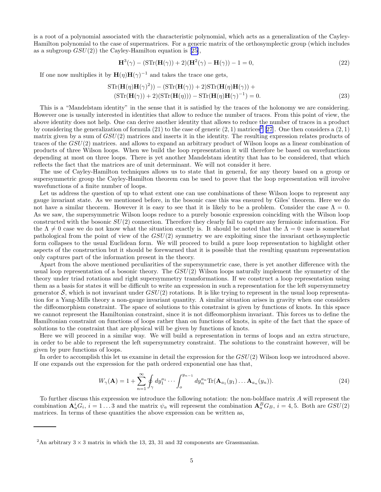is a root of a polynomial associated with the characteristic polynomial, which acts as a generalization of the Cayley-Hamilton polynomial to the case of supermatrices. For a generic matrix of the orthosymplectic group (which includes asa subgroup  $GSU(2)$ ) the Cayley-Hamilton equation is [[25\]](#page-12-0),

$$
\mathbf{H}^{3}(\gamma) - (\mathrm{STr}(\mathbf{H}(\gamma)) + 2)(\mathbf{H}^{2}(\gamma) - \mathbf{H}(\gamma)) - 1 = 0,
$$
\n(22)

If one now multiplies it by  $\mathbf{H}(\eta)\mathbf{H}(\gamma)^{-1}$  and takes the trace one gets,

$$
STr(\mathbf{H}(\eta)\mathbf{H}(\gamma)^{2})) - (STr(\mathbf{H}(\gamma)) + 2)STr(\mathbf{H}(\eta)\mathbf{H}(\gamma)) +
$$
  
\n
$$
(STr(\mathbf{H}(\gamma)) + 2)(STr(\mathbf{H}(\eta))) - STr(\mathbf{H}(\eta)\mathbf{H}(\gamma)^{-1}) = 0.
$$
\n(23)

This is a "Mandelstam identity" in the sense that it is satisfied by the traces of the holonomy we are considering. However one is usually interested in identities that allow to reduce the number of traces. From this point of view, the above identity does not help. One can derive another identity that allows to reduce the number of traces in a product by considering the generalization of formula  $(21)$  to the case of generic  $(2, 1)$  matrices<sup>2</sup> [\[27](#page-12-0)]. One then considers a  $(2, 1)$ matrix given by a sum of  $GSU(2)$  matrices and inserts it in the identity. The resulting expression relates products of traces of the GSU(2) matrices. and allows to expand an arbitrary product of Wilson loops as a linear combination of products of three Wilson loops. When we build the loop representation it will therefore be based on wavefunctions depending at most on three loops. There is yet another Mandelstam identity that has to be considered, that which reflects the fact that the matrices are of unit determinant. We will not consider it here.

The use of Cayley-Hamilton techniques allows us to state that in general, for any theory based on a group or supersymmetric group the Cayley-Hamilton theorem can be used to prove that the loop representation will involve wavefunctions of a finite number of loops.

Let us address the question of up to what extent one can use combinations of these Wilson loops to represent any gauge invariant state. As we mentioned before, in the bosonic case this was ensured by Giles' theorem. Here we do not have a similar theorem. However it is easy to see that it is likely to be a problem. Consider the case  $\Lambda = 0$ . As we saw, the supersymmetric Wilson loops reduce to a purely bosonic expression coinciding with the Wilson loop constructed with the bosonic SU(2) connection. Therefore they clearly fail to capture any fermionic information. For the  $\Lambda \neq 0$  case we do not know what the situation exactly is. It should be noted that the  $\Lambda = 0$  case is somewhat pathological from the point of view of the  $GSU(2)$  symmetry we are exploiting since the invariant orthosymplectic form collapses to the usual Euclidean form. We will proceed to build a pure loop representation to highlight other aspects of the construction but it should be forewarned that it is possible that the resulting quantum representation only captures part of the information present in the theory.

Apart from the above mentioned peculiarities of the supersymmetric case, there is yet another difference with the usual loop representation of a bosonic theory. The GSU(2) Wilson loops naturally implement the symmetry of the theory under triad rotations and right supersymmetry transformations. If we construct a loop representation using them as a basis for states it will be difficult to write an expression in such a representation for the left supersymmetry generator  $\bar{S}$ , which is not invariant under  $GSU(2)$  rotations. It is like trying to represent in the usual loop representation for a Yang-Mills theory a non-gauge invariant quantity. A similar situation arises in gravity when one considers the diffeomorphism constraint. The space of solutions to this constraint is given by functions of knots. In this space we cannot represent the Hamiltonian constraint, since it is not diffeomorphism invariant. This forces us to define the Hamiltonian constraint on functions of loops rather than on functions of knots, in spite of the fact that the space of solutions to the constraint that are physical will be given by functions of knots.

Here we will proceed in a similar way. We will build a representation in terms of loops and an extra structure, in order to be able to represent the left supersymmetry constraint. The solutions to the constraint however, will be given by pure functions of loops.

In order to accomplish this let us examine in detail the expression for the  $GSU(2)$  Wilson loop we introduced above. If one expands out the expression for the path ordered exponential one has that,

$$
W_{\gamma}(\mathbf{A}) = 1 + \sum_{n=1}^{\infty} \oint_{\gamma} dy_1^{a_1} \cdots \int_{o}^{y_{n-1}} dy_n^{a_n} \text{Tr}(\mathbf{A}_{a_1}(y_1) \dots \mathbf{A}_{a_n}(y_n)).
$$
 (24)

To further discuss this expression we introduce the following notation: the non-boldface matrix A will represent the combination  $\mathbf{A}_a^i G_i$ ,  $i = 1...3$  and the matrix  $\psi_a$  will represent the combination  $\mathbf{A}_a^B G_B$ ,  $i = 4,5$ . Both are  $GSU(2)$ matrices. In terms of these quantities the above expression can be written as,

<sup>&</sup>lt;sup>2</sup>An arbitrary  $3 \times 3$  matrix in which the 13, 23, 31 and 32 components are Grassmanian.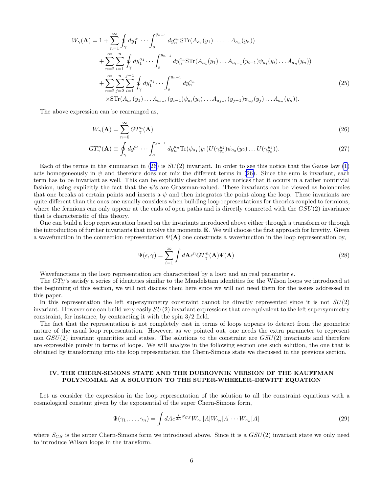$$
W_{\gamma}(\mathbf{A}) = 1 + \sum_{n=1}^{\infty} \oint_{\gamma} dy_1^{a_1} \cdots \int_{o}^{y_{n-1}} dy_n^{a_n} \text{STr}(A_{a_1}(y_1) \dots A_{a_n}(y_n))
$$
  
+ 
$$
\sum_{n=2}^{\infty} \sum_{i=1}^{n} \oint_{\gamma} dy_1^{a_1} \cdots \int_{o}^{y_{n-1}} dy_n^{a_n} \text{STr}(A_{a_1}(y_1) \dots A_{a_{i-1}}(y_{i-1}) \psi_{a_i}(y_i) \dots A_{a_n}(y_n))
$$
  
+ 
$$
\sum_{n=2}^{\infty} \sum_{j=2}^{n} \sum_{i=1}^{j-1} \oint_{\gamma} dy_1^{a_1} \cdots \int_{o}^{y_{n-1}} dy_n^{a_n}
$$
  
×
$$
\text{STr}(A_{a_1}(y_1) \dots A_{a_{i-1}}(y_{i-1}) \psi_{a_i}(y_i) \dots A_{a_{j-1}}(y_{j-1}) \psi_{a_j}(y_j) \dots A_{a_n}(y_n)).
$$
 (25)

The above expression can be rearranged as,

$$
W_{\gamma}(\mathbf{A}) = \sum_{n=0}^{\infty} GT_{\gamma}^{n}(\mathbf{A})
$$
\n(26)

$$
GT_{\gamma}^{n}(\mathbf{A}) \equiv \oint_{\gamma} dy_1^{a_1} \cdots \int_{o}^{y_{n-1}} dy_n^{a_n} \text{Tr}(\psi_{a_1}(y_1) U(\gamma_{y_1}^{y_2}) \psi_{a_2}(y_2) \dots U(\gamma_{y_n}^{y_1})).
$$
\n(27)

Each of the terms in the summation in (26) is  $SU(2)$  invariant. In order to see this notice that the Gauss law [\(1](#page-2-0)) acts homogeneously in  $\psi$  and therefore does not mix the different terms in (26). Since the sum is invariant, each term has to be invariant as well. This can be explicitly checked and one notices that it occurs in a rather nontrivial fashion, using explicitly the fact that the  $\psi$ 's are Grassman-valued. These invariants can be viewed as holonomies that one breaks at certain points and inserts a  $\psi$  and then integrates the point along the loop. These invariants are quite different than the ones one usually considers when building loop representations for theories coupled to fermions, where the fermions can only appear at the ends of open paths and is directly connected with the  $GSU(2)$  invariance that is characteristic of this theory.

One can build a loop representation based on the invariants introduced above either through a transform or through the introduction of further invariants that involve the momenta  $\bf{E}$ . We will choose the first approach for brevity. Given a wavefunction in the connection representation  $\Psi(A)$  one constructs a wavefunction in the loop representation by,

$$
\Psi(\epsilon,\gamma) = \sum_{i=1}^{\infty} \int d\mathbf{A} \epsilon^n G T_{\gamma}^n(\mathbf{A}) \Psi(\mathbf{A})
$$
\n(28)

Wavefunctions in the loop representation are characterized by a loop and an real parameter  $\epsilon$ .

The  $GT_\gamma^n$ 's satisfy a series of identities similar to the Mandelstam identities for the Wilson loops we introduced at the beginning of this section, we will not discuss them here since we will not need them for the issues addressed in this paper.

In this representation the left supersymmetry constraint cannot be directly represented since it is not  $SU(2)$ invariant. However one can build very easily  $SU(2)$  invariant expressions that are equivalent to the left supersymmetry constraint, for instance, by contracting it with the spin 3/2 field.

The fact that the representation is not completely cast in terms of loops appears to detract from the geometric nature of the usual loop representation. However, as we pointed out, one needs the extra parameter to represent non  $GSU(2)$  invariant quantities and states. The solutions to the constraint are  $GSU(2)$  invariants and therefore are expressible purely in terms of loops. We will analyze in the following section one such solution, the one that is obtained by transforming into the loop representation the Chern-Simons state we discussed in the previous section.

#### IV. THE CHERN-SIMONS STATE AND THE DUBROVNIK VERSION OF THE KAUFFMAN POLYNOMIAL AS A SOLUTION TO THE SUPER-WHEELER–DEWITT EQUATION

Let us consider the expression in the loop representation of the solution to all the constraint equations with a cosmological constant given by the exponential of the super Chern-Simons form,

$$
\Psi(\gamma_1,\ldots,\gamma_n) = \int dA e^{\frac{i}{2\Lambda}S_{CS}} W_{\gamma_1}[A] W_{\gamma_2}[A] \cdots W_{\gamma_n}[A]
$$
\n(29)

where  $S_{CS}$  is the super Chern-Simons form we introduced above. Since it is a  $GSU(2)$  invariant state we only need to introduce Wilson loops in the transform.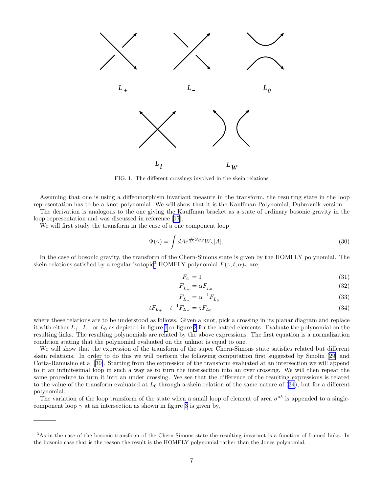<span id="page-7-0"></span>

FIG. 1. The different crossings involved in the skein relations

Assuming that one is using a diffeomorphism invariant measure in the transform, the resulting state in the loop representation has to be a knot polynomial. We will show that it is the Kauffman Polynomial, Dubrovnik version.

The derivation is analogous to the one giving the Kauffman bracket as a state of ordinary bosonic gravity in the loop representation and was discussed in reference [\[17](#page-12-0)].

We will first study the transform in the case of a one component loop

$$
\Psi(\gamma) = \int dA e^{\frac{i}{2\Lambda}S_{CS}} W_{\gamma}[A]. \tag{30}
$$

In the case of bosonic gravity, the transform of the Chern-Simons state is given by the HOMFLY polynomial. The skein relations satisfied by a regular-isotopic<sup>3</sup> HOMFLY polynomial  $F(z, t, \alpha)_{\gamma}$  are,

$$
F_U = 1\tag{31}
$$

$$
F_{\hat{L}_{+}} = \alpha F_{\hat{L}_{0}} \tag{32}
$$

$$
F_{\hat{L}_{-}} = \alpha^{-1} F_{\hat{L}_{0}} \tag{33}
$$

$$
tF_{L_{+}} - t^{-1}F_{L_{-}} = zF_{L_{0}} \tag{34}
$$

where these relations are to be understood as follows. Given a knot, pick a crossing in its planar diagram and replace it with either  $L_+$ ,  $L_-$  or  $L_0$  as depicted in figure 1 or figure [2](#page-8-0) for the hatted elements. Evaluate the polynomial on the resulting links. The resulting polynomials are related by the above expressions. The first equation is a normalization condition stating that the polynomial evaluated on the unknot is equal to one.

We will show that the expression of the transform of the super Chern-Simons state satisfies related but different skein relations. In order to do this we will perform the following computation first suggested by Smolin [\[29](#page-12-0)] and Cotta-Ramusino et al [\[30\]](#page-12-0). Starting from the expression of the transform evaluated at an intersection we will append to it an infinitesimal loop in such a way as to turn the intersection into an over crossing. We will then repeat the same procedure to turn it into an under crossing. We see that the difference of the resulting expressions is related to the value of the transform evaluated at  $L_0$  through a skein relation of the same nature of (34), but for a different polynomial.

The variation of the loop transform of the state when a small loop of element of area  $\sigma^{ab}$  is appended to a singlecomponent loop  $\gamma$  at an intersection as shown in figure [3](#page-8-0) is given by,

<sup>&</sup>lt;sup>3</sup>As in the case of the bosonic transform of the Chern-Simons state the resulting invariant is a function of framed links. In the bosonic case that is the reason the result is the HOMFLY polynomial rather than the Jones polynomial.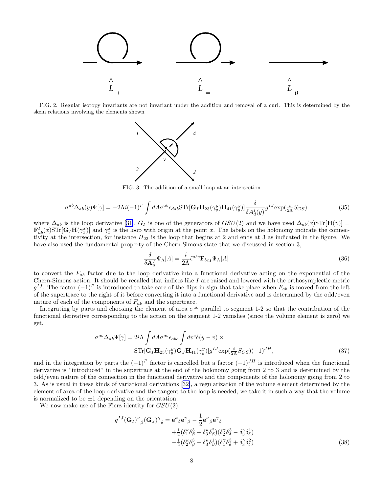<span id="page-8-0"></span>

FIG. 2. Regular isotopy invariants are not invariant under the addition and removal of a curl. This is determined by the skein relations involving the elements shown



FIG. 3. The addition of a small loop at an intersection

$$
\sigma^{ab}\Delta_{ab}(y)\Psi[\gamma] = -2\Lambda i(-1)^P \int dA \sigma^{ab}\epsilon_{dab} \text{STr}[\mathbf{G}_I \mathbf{H}_{23}(\gamma_y^y)\mathbf{H}_{41}(\gamma_y^y)] \frac{\delta}{\delta A_d^I(y)} g^{IJ} \exp(\frac{i}{2\Lambda} S_{CS})
$$
(35)

where $\Delta_{ab}$  is the loop derivative [[31\]](#page-12-0),  $G_I$  is one of the generators of  $GSU(2)$  and we have used  $\Delta_{ab}(x)STr[H(\gamma)] =$  $\mathbf{F}_{ab}^I(x)\mathrm{STr}[\mathbf{G}_I\mathbf{H}(\gamma_x^x)]$  and  $\gamma_x^x$  is the loop with origin at the point x. The labels on the holonomy indicate the connectivity at the intersection, for instance  $H_{23}$  is the loop that begins at 2 and ends at 3 as indicated in the figure. We have also used the fundamental property of the Chern-Simons state that we discussed in section 3,

$$
\frac{\delta}{\delta \mathbf{A}_a^I} \Psi_\Lambda[A] = \frac{i}{2\Lambda} \tilde{\epsilon}^{abc} \mathbf{F}_{bcI} \Psi_\Lambda[A] \tag{36}
$$

to convert the  $F_{ab}$  factor due to the loop derivative into a functional derivative acting on the exponential of the Chern-Simons action. It should be recalled that indices like I are raised and lowered with the orthosymplectic metric  $g^{IJ}$ . The factor  $(-1)^P$  is introduced to take care of the flips in sign that take place when  $F_{ab}$  is moved from the left of the supertrace to the right of it before converting it into a functional derivative and is determined by the odd/even nature of each of the components of  $F_{ab}$  and the supertrace.

Integrating by parts and choosing the element of area  $\sigma^{ab}$  parallel to segment 1-2 so that the contribution of the functional derivative corresponding to the action on the segment 1-2 vanishes (since the volume element is zero) we get,

$$
\sigma^{ab}\Delta_{ab}\Psi[\gamma] = 2i\Lambda \int dA \sigma^{ab}\epsilon_{abc} \int dv^c \delta(y - v) \times
$$
  
STr[ $\mathbf{G}_I \mathbf{H}_{23}(\gamma_y^y) \mathbf{G}_J \mathbf{H}_{41}(\gamma_y^y)] g^{IJ} \exp(\frac{i}{2\Lambda} S_{CS})(-1)^{JH},$  (37)

and in the integration by parts the  $(-1)^P$  factor is cancelled but a factor  $(-1)^{JH}$  is introduced when the functional derivative is "introduced" in the supertrace at the end of the holonomy going from 2 to 3 and is determined by the odd/even nature of the connection in the functional derivative and the components of the holonomy going from 2 to 3. As is usual in these kinds of variational derivations[[32\]](#page-12-0), a regularization of the volume element determined by the element of area of the loop derivative and the tangent to the loop is needed, we take it in such a way that the volume is normalized to be  $\pm 1$  depending on the orientation.

We now make use of the Fierz identity for  $GSU(2)$ ,

$$
g^{IJ}(\mathbf{G}_I)^{\kappa}{}_{\beta}(\mathbf{G}_J)^{\gamma}{}_{\delta} = \mathbf{e}^{\kappa}{}_{\delta}\mathbf{e}^{\gamma}{}_{\beta} - \frac{1}{2}\mathbf{e}^{\kappa}{}_{\beta}\mathbf{e}^{\gamma}{}_{\delta} + \frac{1}{2}(\delta^{\kappa}_1 \delta^3_{\beta} + \delta^{\kappa}_3 \delta^2_{\beta})(\delta^{\gamma}_2 \delta^3_{\delta} - \delta^{\gamma}_3 \delta^1_{\delta}) -\frac{1}{2}(\delta^{\kappa}_2 \delta^3_{\beta} - \delta^{\kappa}_3 \delta^1_{\beta})(\delta^{\gamma}_1 \delta^3_{\delta} + \delta^{\gamma}_3 \delta^2_{\delta})
$$
(38)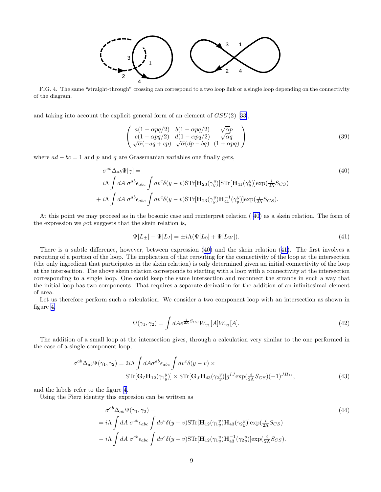

<span id="page-9-0"></span>FIG. 4. The same "straight-through" crossing can correspond to a two loop link or a single loop depending on the connectivity of the diagram.

andtaking into account the explicit general form of an element of  $GSU(2)$  [[33\]](#page-12-0),

$$
\begin{pmatrix}\na(1 - \alpha pq/2) & b(1 - \alpha pq/2) & \sqrt{\alpha}p \\
c(1 - \alpha pq/2) & d(1 - \alpha pq/2) & \sqrt{\alpha}q \\
\sqrt{\alpha}(-aq + cp) & \sqrt{\alpha}(dp - bq) & (1 + \alpha pq)\n\end{pmatrix}
$$
\n(39)

where  $ad - bc = 1$  and p and q are Grassmanian variables one finally gets,

$$
\sigma^{ab}\Delta_{ab}\Psi[\gamma] =
$$
\n
$$
= i\Lambda \int dA \,\sigma^{ab}\epsilon_{abc} \int dv^c \delta(y - v) \text{STr}[\mathbf{H}_{23}(\gamma_y^y)] \text{STr}[\mathbf{H}_{41}(\gamma_y^y)] \exp(\frac{i}{2\Lambda}S_{CS})
$$
\n
$$
+ i\Lambda \int dA \,\sigma^{ab}\epsilon_{abc} \int dv^c \delta(y - v) \text{STr}[\mathbf{H}_{23}(\gamma_y^y)\mathbf{H}_{41}^{-1}(\gamma_y^y)] \exp(\frac{i}{2\Lambda}S_{CS}).
$$
\n(40)

At this point we may proceed as in the bosonic case and reinterpret relation ( 40) as a skein relation. The form of the expression we got suggests that the skein relation is,

$$
\Psi[L_{\pm}] - \Psi[L_I] = \pm i\Lambda(\Psi[L_0] + \Psi[L_W]). \tag{41}
$$

There is a subtle difference, however, between expression (40) and the skein relation (41). The first involves a rerouting of a portion of the loop. The implication of that rerouting for the connectivity of the loop at the intersection (the only ingredient that participates in the skein relation) is only determined given an initial connectivity of the loop at the intersection. The above skein relation corresponds to starting with a loop with a connectivity at the intersection corresponding to a single loop. One could keep the same intersection and reconnect the strands in such a way that the initial loop has two components. That requires a separate derivation for the addition of an infinitesimal element of area.

Let us therefore perform such a calculation. We consider a two component loop with an intersection as shown in figure 4,

$$
\Psi(\gamma_1, \gamma_2) = \int dA e^{\frac{i}{2\Lambda}S_{CS}} W_{\gamma_1}[A] W_{\gamma_2}[A]. \tag{42}
$$

The addition of a small loop at the intersection gives, through a calculation very similar to the one performed in the case of a single component loop,

$$
\sigma^{ab}\Delta_{ab}\Psi(\gamma_1,\gamma_2) = 2i\Lambda \int dA \sigma^{ab}\epsilon_{abc} \int dv^c \delta(y-v) \times
$$
  
STr[**G**<sub>I</sub>**H**<sub>12</sub>( $\gamma_1^y$ )] × STr[**G**<sub>J</sub>**H**<sub>43</sub>( $\gamma_2^y$ )] $g^{IJ}$ exp( $\frac{i}{2\Lambda}S_{CS}$ )(-1)<sup>JH</sup><sub>12</sub>, (43)

and the labels refer to the figure 4.

Using the Fierz identity this expresion can be written as

$$
\sigma^{ab}\Delta_{ab}\Psi(\gamma_1, \gamma_2) =
$$
\n
$$
= i\Lambda \int dA \,\sigma^{ab}\epsilon_{abc} \int dv^c \delta(y - v) \text{STr}[\mathbf{H}_{12}(\gamma_1 y)\mathbf{H}_{43}(\gamma_2 y)] \exp(\frac{i}{2\Lambda}S_{CS})
$$
\n
$$
- i\Lambda \int dA \,\sigma^{ab}\epsilon_{abc} \int dv^c \delta(y - v) \text{STr}[\mathbf{H}_{12}(\gamma_1 y)\mathbf{H}_{43}^{-1}(\gamma_2 y)] \exp(\frac{i}{2\Lambda}S_{CS}).
$$
\n(44)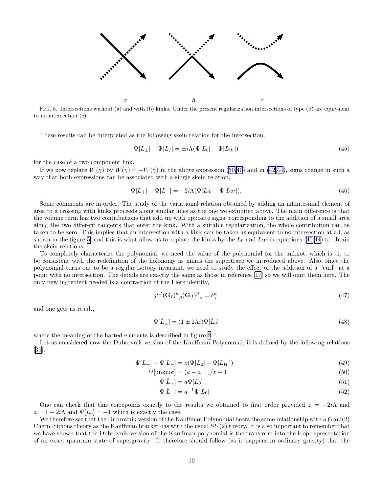

FIG. 5. Intersections without (a) and with (b) kinks. Under the present regularization intersections of type (b) are equivalent to no intersection (c).

These results can be interpreted as the following skein relation for the intersection,

$$
\Psi[L_{\pm}] - \Psi[L_I] = \pm i\Lambda(\Psi[L_0] - \Psi[L_W])\tag{45}
$$

for the case of a two component link.

If we now replace  $W(\gamma)$  by  $W(\gamma) = -W(\gamma)$  in the above expression [\(30,](#page-7-0)[40](#page-9-0)) and in [\(42,44](#page-9-0)), signs change in such a way that both expressions can be associated with a single skein relation,

$$
\Psi[L_{+}] - \Psi[L_{-}] = -2i\Lambda(\Psi[L_{0}] - \Psi[L_{W}]). \tag{46}
$$

Some comments are in order. The study of the variational relation obtained by adding an infinitesimal element of area to a crossing with kinks proceeds along similar lines as the one we exhibited above. The main difference is that the volume term has two contributions that add up with opposite signs, corresponding to the addition of a small area along the two different tangents that enter the kink. With a suitable regularization, the whole contribution can be taken to be zero. This implies that an intersection with a kink can be taken as equivalent to no intersection at all, as shownin the figure 5, and this is what allow us to replace the kinks by the  $L_0$  and  $L_W$  in equations ([40,44\)](#page-9-0) to obtain the skein relations.

To completely characterize the polynomial, we need the value of the polynomial for the unknot, which is -1, to be consistent with the redefinition of the holonomy as minus the supertrace we introduced above. Also, since the polynomial turns out to be a regular isotopy invariant, we need to study the effect of the addition of a "curl" at a point with no intersection. The details are exactly the same as those in reference [\[17](#page-12-0)] so we will omit them here. The only new ingredient needed is a contraction of the Fierz identity,

$$
g^{IJ}(\mathbf{G}_I)^{\kappa}{}_{\beta}(\mathbf{G}_J)^{\beta}{}_{\gamma} = \delta^{\kappa}_{\gamma},\tag{47}
$$

and one gets as result,

$$
\Psi[\hat{L}_{\pm}] = (1 \pm 2\Lambda i)\Psi[\hat{L}_0] \tag{48}
$$

where the meaning of the hatted elements is described in figure [2](#page-8-0).

Let us considered now the Dubrovnik version of the Kauffman Polynomial; it is defined by the following relations [[39\]](#page-12-0),

$$
\Psi[L_{+}] - \Psi[L_{-}] = z(\Psi[L_{0}] - \Psi[L_{W}]) \tag{49}
$$

$$
\Psi[\text{unknot}] = (a - a^{-1})/z + 1\tag{50}
$$

$$
\Psi[\hat{L}_{+}] = a\Psi[L_0] \tag{51}
$$

$$
\Psi[\hat{L}_{-}] = a^{-1}\Psi[L_0]
$$
\n(52)

One can check that this correponds exactly to the results we obtained to first order provided  $z = -2i\Lambda$  and  $a = 1 + 2i\Lambda$  and  $\Psi[L_0] = -1$  which is exactly the case.

We therefore see that the Dubrovnik version of the Kauffman Polynomial bears the same relationship with a  $GSU(2)$ Chern–Simons theory as the Kauffman bracket has with the usual  $SU(2)$  theory. It is also important to remember that we have shown that the Dubrovnik version of the Kauffman polynomial is the transform into the loop representation of an exact quantum state of supergravity. It therefore should follow (as it happens in ordinary gravity) that the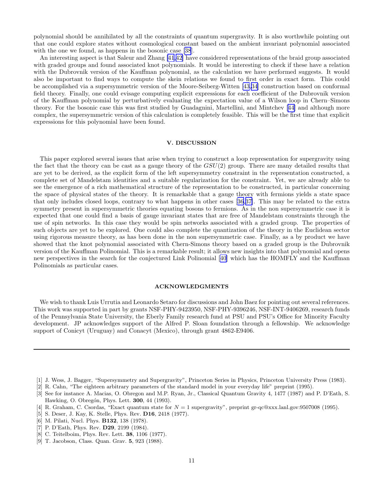<span id="page-11-0"></span>polynomial should be annihilated by all the constraints of quantum supergravity. It is also worthwhile pointing out that one could explore states without cosmological constant based on the ambient invariant polynomial associated with the one we found, as happens in the bosonic case [\[38](#page-12-0)].

An interesting aspect is that Saleur and Zhang [\[41](#page-12-0),[42](#page-12-0)] have considered representations of the braid group associated with graded groups and found associated knot polynomials. It would be interesting to check if these have a relation with the Dubrovnik version of the Kauffman polynomial, as the calculation we have performed suggests. It would also be important to find ways to compute the skein relations we found to first order in exact form. This could be accomplished via a supersymmetric version of the Moore-Seiberg-Witten [\[43,34](#page-12-0)] construction based on conformal field theory. Finally, one could evisage computing explicit expressions for each coefficient of the Dubrovnik version of the Kauffman polynomial by perturbatively evaluating the expectation value of a Wilson loop in Chern–Simons theory. For the bosonic case this was first studied by Guadagnini, Martellini, and Mintchev[[44](#page-12-0)] and although more complex, the supersymmetric version of this calculation is completely feasible. This will be the first time that explicit expressions for this polynomial have been found.

#### V. DISCUSSION

This paper explored several issues that arise when trying to construct a loop representation for supergravity using the fact that the theory can be cast as a gauge theory of the  $GSU(2)$  group. There are many detailed results that are yet to be derived, as the explicit form of the left supersymmetry constraint in the representation constructed, a complete set of Mandelstam identities and a suitable regularization for the constraint. Yet, we are already able to see the emergence of a rich mathematical structure of the representation to be constructed, in particular concerning the space of physical states of the theory. It is remarkable that a gauge theory with fermions yields a state space that only includes closed loops, contrary to what happens in other cases[[36,37\]](#page-12-0). This may be related to the extra symmetry present in supersymmetric theories equating bosons to fermions. As in the non supersymmetric case it is expected that one could find a basis of gauge invariant states that are free of Mandelstam constraints through the use of spin networks. In this case they would be spin networks associated with a graded group. The properties of such objects are yet to be explored. One could also complete the quantization of the theory in the Euclidean sector using rigorous measure theory, as has been done in the non supersymmetric case. Finally, as a by product we have showed that the knot polynomial associated with Chern-Simons theory based on a graded group is the Dubrovnik version of the Kauffman Polinomial. This is a remarkable result; it allows new insights into that polynomial and opens new perspectives in the search for the conjectured Link Polinomial [[40](#page-12-0)] which has the HOMFLY and the Kauffman Polinomials as particular cases.

#### ACKNOWLEDGMENTS

We wish to thank Luis Urrutia and Leonardo Setaro for discussions and John Baez for pointing out several references. This work was supported in part by grants NSF-PHY-9423950, NSF-PHY-9396246, NSF-INT-9406269, research funds of the Pennsylvania State University, the Eberly Family research fund at PSU and PSU's Office for Minority Faculty development. JP acknowledges support of the Alfred P. Sloan foundation through a fellowship. We acknowledge support of Conicyt (Uruguay) and Conacyt (Mexico), through grant 4862-E9406.

- [1] J. Wess, J. Bagger, "Supersymmetry and Supergravity", Princeton Series in Physics, Princeton University Press (1983).
- [2] R. Cahn, "The eighteen arbitrary parameters of the standard model in your everyday life" preprint (1995).
- [3] See for instance A. Macias, O. Obregon and M.P. Ryan, Jr., Classical Quantum Gravity 4, 1477 (1987) and P. D'Eath, S. Hawking, O. Obregón, Phys. Lett. **300**, 44 (1993).
- [4] R. Graham, C. Csordas, "Exact quantum state for  $N = 1$  supergravity", preprint gr-qc@xxx.lanl.gov:9507008 (1995).
- [5] S. Deser, J. Kay, K. Stelle, Phys. Rev. D16, 2418 (1977).
- [6] M. Pilati, Nucl. Phys. B132, 138 (1978).
- [7] P. D'Eath, Phys. Rev. **D29**, 2199 (1984).
- [8] C. Teitelboim, Phys. Rev. Lett. 38, 1106 (1977).
- [9] T. Jacobson, Class. Quan. Grav. 5, 923 (1988).